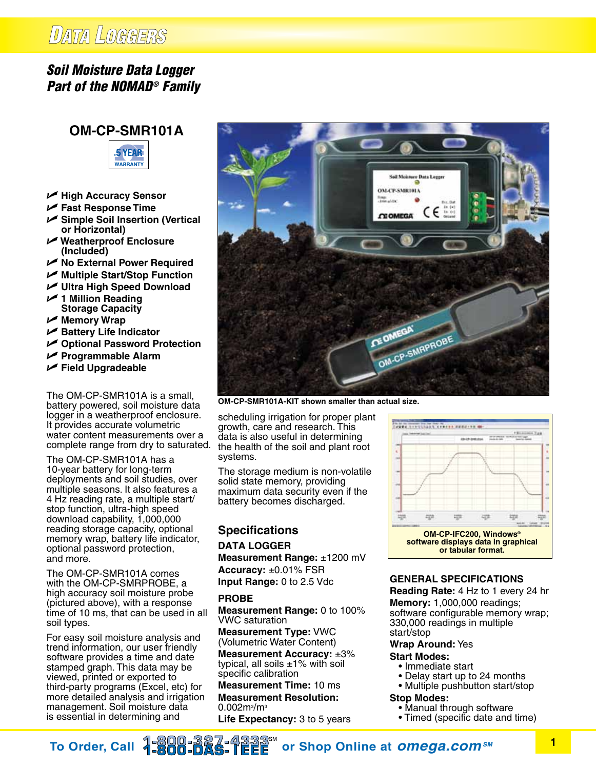## DATA LOGGERS

## *Soil Moisture Data Logger Part of the NOMAD® Family*

## **OM-CP-SMR101A**



- U **High Accuracy Sensor**
- U **Fast Response Time**
- U **Simple Soil Insertion (Vertical or Horizontal)**
- U **Weatherproof Enclosure (Included)**
- U **No External Power Required**
- U **Multiple Start/Stop Function**
- U **Ultra High Speed Download**
- U **1 Million Reading Storage Capacity**
- U **Memory Wrap**
- U **Battery Life Indicator**
- U **Optional Password Protection**
- U **Programmable Alarm**
- U **Field Upgradeable**

The OM-CP-SMR101A is a small, battery powered, soil moisture data logger in a weatherproof enclosure. It provides accurate volumetric water content measurements over a complete range from dry to saturated.

The OM-CP-SMR101A has a 10-year battery for long-term deployments and soil studies, over multiple seasons. It also features a 4 Hz reading rate, a multiple start/ stop function, ultra-high speed download capability, 1,000,000 reading storage capacity, optional memory wrap, battery life indicator, optional password protection, and more.

The OM-CP-SMR101A comes with the OM-CP-SMRPROBE, a high accuracy soil moisture probe (pictured above), with a response time of 10 ms, that can be used in all soil types.

For easy soil moisture analysis and trend information, our user friendly software provides a time and date stamped graph. This data may be viewed, printed or exported to third-party programs (Excel, etc) for more detailed analysis and irrigation management. Soil moisture data is essential in determining and



**OM-CP-SMR101A-KIT shown smaller than actual size.**

scheduling irrigation for proper plant growth, care and research. This data is also useful in determining the health of the soil and plant root systems.

The storage medium is non-volatile solid state memory, providing maximum data security even if the battery becomes discharged.

### **Specifications**

## **DATA LOGGER**

**Measurement Range:** ±1200 mV **Accuracy:** ±0.01% FSR **Input Range:** 0 to 2.5 Vdc

#### **PROBE**

**Measurement Range:** 0 to 100% VWC saturation

**Measurement Type:** VWC (Volumetric Water Content)

**Measurement Accuracy:** ±3% typical, all soils ±1% with soil specific calibration

**Measurement Time:** 10 ms **Measurement Resolution:**  0.002m<sup>3</sup>/m<sup>3</sup>

**Life Expectancy:** 3 to 5 years



#### **General specifications**

**Reading Rate:** 4 Hz to 1 every 24 hr **Memory:** 1,000,000 readings; software configurable memory wrap; 330,000 readings in multiple start/stop

**Wrap Around:** Yes

#### **Start Modes:**

- Immediate start
- Delay start up to 24 months
- Multiple pushbutton start/stop
- **Stop Modes:**
	- Manual through software
	- Timed (specific date and time)